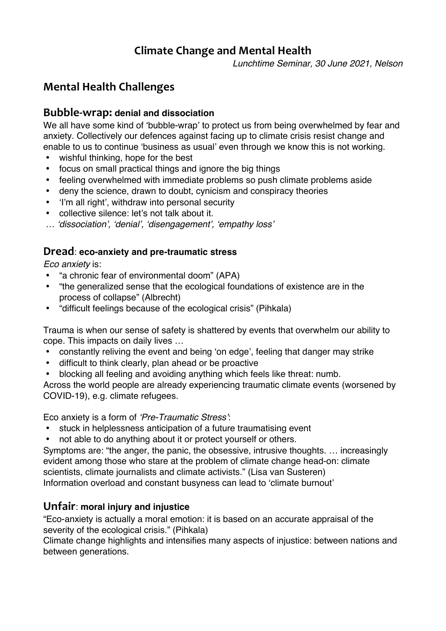# **Climate Change and Mental Health**

*Lunchtime Seminar, 30 June 2021, Nelson*

## **Mental Health Challenges**

### **Bubble-wrap: denial and dissociation**

We all have some kind of 'bubble-wrap' to protect us from being overwhelmed by fear and anxiety. Collectively our defences against facing up to climate crisis resist change and enable to us to continue 'business as usual' even through we know this is not working.

- wishful thinking, hope for the best
- focus on small practical things and ignore the big things
- feeling overwhelmed with immediate problems so push climate problems aside
- deny the science, drawn to doubt, cynicism and conspiracy theories
- 'I'm all right', withdraw into personal security
- collective silence: let's not talk about it.
- *… 'dissociation', 'denial', 'disengagement', 'empathy loss'*

### **Dread**: **eco-anxiety and pre-traumatic stress**

*Eco anxiety* is:

- "a chronic fear of environmental doom" (APA)
- "the generalized sense that the ecological foundations of existence are in the process of collapse" (Albrecht)
- "difficult feelings because of the ecological crisis" (Pihkala)

Trauma is when our sense of safety is shattered by events that overwhelm our ability to cope. This impacts on daily lives …

- constantly reliving the event and being 'on edge', feeling that danger may strike
- difficult to think clearly, plan ahead or be proactive
- blocking all feeling and avoiding anything which feels like threat: numb.

Across the world people are already experiencing traumatic climate events (worsened by COVID-19), e.g. climate refugees.

Eco anxiety is a form of *'Pre-Traumatic Stress'*:

- stuck in helplessness anticipation of a future traumatising event
- not able to do anything about it or protect yourself or others.

Symptoms are: "the anger, the panic, the obsessive, intrusive thoughts. … increasingly evident among those who stare at the problem of climate change head-on: climate scientists, climate journalists and climate activists." (Lisa van Susteren)

Information overload and constant busyness can lead to 'climate burnout'

## **Unfair**: **moral injury and injustice**

"Eco-anxiety is actually a moral emotion: it is based on an accurate appraisal of the severity of the ecological crisis." (Pihkala)

Climate change highlights and intensifies many aspects of injustice: between nations and between generations.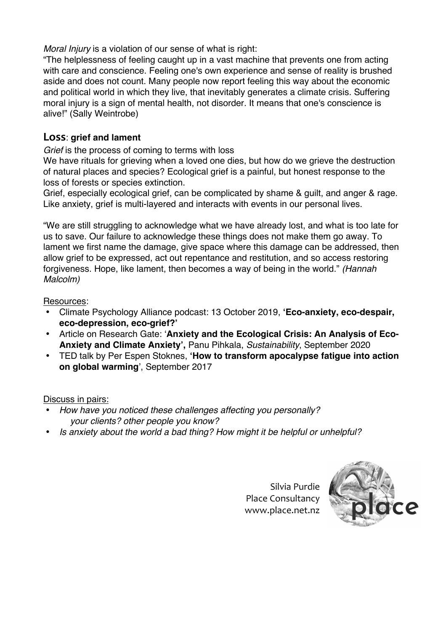*Moral Injury* is a violation of our sense of what is right:

"The helplessness of feeling caught up in a vast machine that prevents one from acting with care and conscience. Feeling one's own experience and sense of reality is brushed aside and does not count. Many people now report feeling this way about the economic and political world in which they live, that inevitably generates a climate crisis. Suffering moral injury is a sign of mental health, not disorder. It means that one's conscience is alive!" (Sally Weintrobe)

## **Loss**: **grief and lament**

*Grief* is the process of coming to terms with loss

We have rituals for grieving when a loved one dies, but how do we grieve the destruction of natural places and species? Ecological grief is a painful, but honest response to the loss of forests or species extinction.

Grief, especially ecological grief, can be complicated by shame & guilt, and anger & rage. Like anxiety, grief is multi-layered and interacts with events in our personal lives.

"We are still struggling to acknowledge what we have already lost, and what is too late for us to save. Our failure to acknowledge these things does not make them go away. To lament we first name the damage, give space where this damage can be addressed, then allow grief to be expressed, act out repentance and restitution, and so access restoring forgiveness. Hope, like lament, then becomes a way of being in the world." *(Hannah Malcolm)*

#### Resources:

- Climate Psychology Alliance podcast: 13 October 2019, **'Eco-anxiety, eco-despair, eco-depression, eco-grief?'**
- Article on Research Gate: '**Anxiety and the Ecological Crisis: An Analysis of Eco-Anxiety and Climate Anxiety',** Panu Pihkala, *Sustainability*, September 2020
- TED talk by Per Espen Stoknes, **'How to transform apocalypse fatigue into action on global warming**', September 2017

#### Discuss in pairs:

- *How have you noticed these challenges affecting you personally? your clients? other people you know?*
- *Is anxiety about the world a bad thing? How might it be helpful or unhelpful?*

Silvia Purdie Place Consultancy www.place.net.nz